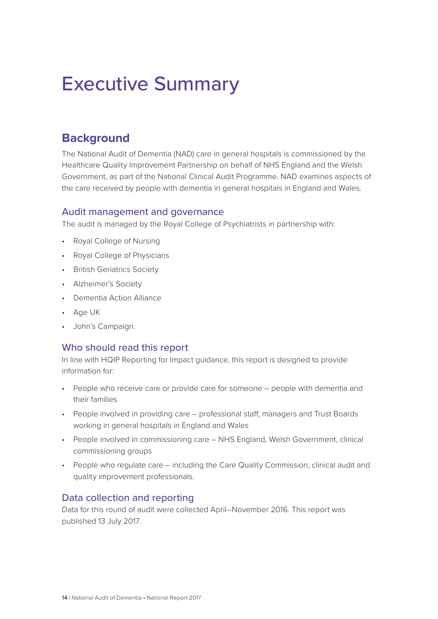# Executive Summary

# **Background**

The National Audit of Dementia (NAD) care in general hospitals is commissioned by the Healthcare Quality Improvement Partnership on behalf of NHS England and the Welsh Government, as part of the National Clinical Audit Programme. NAD examines aspects of the care received by people with dementia in general hospitals in England and Wales.

# Audit management and governance

The audit is managed by the Royal College of Psychiatrists in partnership with:

- Royal College of Nursing
- Royal College of Physicians
- British Geriatrics Society
- Alzheimer's Society
- Dementia Action Alliance
- Age UK
- John's Campaign.

# Who should read this report

In line with HQIP Reporting for Impact guidance, this report is designed to provide information for:

- People who receive care or provide care for someone people with dementia and their families
- People involved in providing care professional staff, managers and Trust Boards working in general hospitals in England and Wales
- People involved in commissioning care NHS England, Welsh Government, clinical commissioning groups
- People who regulate care including the Care Quality Commission, clinical audit and quality improvement professionals.

# Data collection and reporting

Data for this round of audit were collected April–November 2016. This report was published 13 July 2017.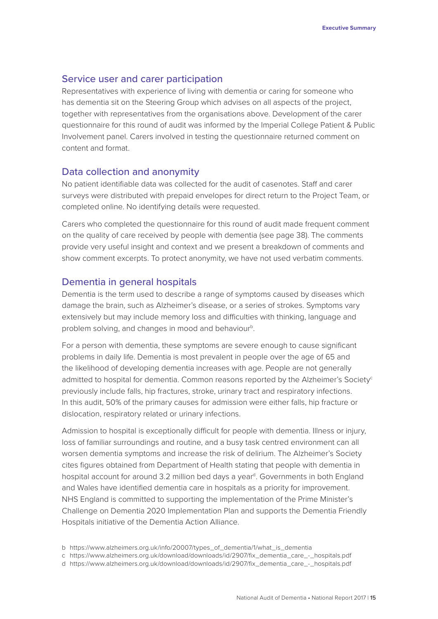# Service user and carer participation

Representatives with experience of living with dementia or caring for someone who has dementia sit on the Steering Group which advises on all aspects of the project, together with representatives from the organisations above. Development of the carer questionnaire for this round of audit was informed by the Imperial College Patient & Public Involvement panel. Carers involved in testing the questionnaire returned comment on content and format.

## Data collection and anonymity

No patient identifiable data was collected for the audit of casenotes. Staff and carer surveys were distributed with prepaid envelopes for direct return to the Project Team, or completed online. No identifying details were requested.

Carers who completed the questionnaire for this round of audit made frequent comment on the quality of care received by people with dementia (see page 38). The comments provide very useful insight and context and we present a breakdown of comments and show comment excerpts. To protect anonymity, we have not used verbatim comments.

#### Dementia in general hospitals

Dementia is the term used to describe a range of symptoms caused by diseases which damage the brain, such as Alzheimer's disease, or a series of strokes. Symptoms vary extensively but may include memory loss and difficulties with thinking, language and problem solving, and changes in mood and behaviour<sup>b</sup>.

For a person with dementia, these symptoms are severe enough to cause significant problems in daily life. Dementia is most prevalent in people over the age of 65 and the likelihood of developing dementia increases with age. People are not generally admitted to hospital for dementia. Common reasons reported by the Alzheimer's Society<sup>c</sup> previously include falls, hip fractures, stroke, urinary tract and respiratory infections. In this audit, 50% of the primary causes for admission were either falls, hip fracture or dislocation, respiratory related or urinary infections.

Admission to hospital is exceptionally difficult for people with dementia. Illness or injury, loss of familiar surroundings and routine, and a busy task centred environment can all worsen dementia symptoms and increase the risk of delirium. The Alzheimer's Society cites figures obtained from Department of Health stating that people with dementia in hospital account for around 3.2 million bed days a year<sup>d</sup>. Governments in both England and Wales have identified dementia care in hospitals as a priority for improvement. NHS England is committed to supporting the implementation of the Prime Minister's Challenge on Dementia 2020 Implementation Plan and supports the Dementia Friendly Hospitals initiative of the Dementia Action Alliance.

- b https://www.alzheimers.org.uk/info/20007/types\_of\_dementia/1/what\_is\_dementia
- c https://www.alzheimers.org.uk/download/downloads/id/2907/fix\_dementia\_care\_-\_hospitals.pdf
- d https://www.alzheimers.org.uk/download/downloads/id/2907/fix\_dementia\_care\_-\_hospitals.pdf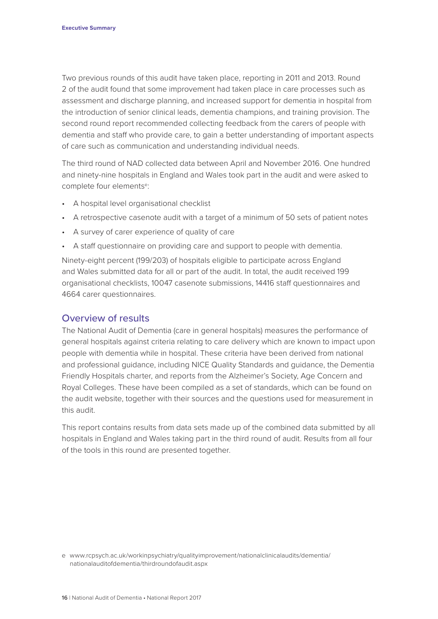Two previous rounds of this audit have taken place, reporting in 2011 and 2013. Round 2 of the audit found that some improvement had taken place in care processes such as assessment and discharge planning, and increased support for dementia in hospital from the introduction of senior clinical leads, dementia champions, and training provision. The second round report recommended collecting feedback from the carers of people with dementia and staff who provide care, to gain a better understanding of important aspects of care such as communication and understanding individual needs.

The third round of NAD collected data between April and November 2016. One hundred and ninety-nine hospitals in England and Wales took part in the audit and were asked to complete four elements<sup>e</sup>:

- A hospital level organisational checklist
- A retrospective casenote audit with a target of a minimum of 50 sets of patient notes
- A survey of carer experience of quality of care
- A staff questionnaire on providing care and support to people with dementia.

Ninety-eight percent (199/203) of hospitals eligible to participate across England and Wales submitted data for all or part of the audit. In total, the audit received 199 organisational checklists, 10047 casenote submissions, 14416 staff questionnaires and 4664 carer questionnaires.

# Overview of results

The National Audit of Dementia (care in general hospitals) measures the performance of general hospitals against criteria relating to care delivery which are known to impact upon people with dementia while in hospital. These criteria have been derived from national and professional guidance, including NICE Quality Standards and guidance, the Dementia Friendly Hospitals charter, and reports from the Alzheimer's Society, Age Concern and Royal Colleges. These have been compiled as a set of standards, which can be found on the audit website, together with their sources and the questions used for measurement in this audit.

This report contains results from data sets made up of the combined data submitted by all hospitals in England and Wales taking part in the third round of audit. Results from all four of the tools in this round are presented together.

e www.rcpsych.ac.uk/workinpsychiatry/qualityimprovement/nationalclinicalaudits/dementia/ nationalauditofdementia/thirdroundofaudit.aspx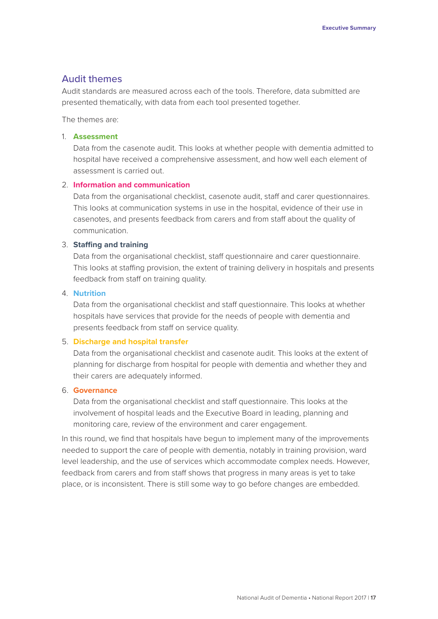# Audit themes

Audit standards are measured across each of the tools. Therefore, data submitted are presented thematically, with data from each tool presented together.

The themes are:

#### 1. **Assessment**

Data from the casenote audit. This looks at whether people with dementia admitted to hospital have received a comprehensive assessment, and how well each element of assessment is carried out.

#### 2. **Information and communication**

Data from the organisational checklist, casenote audit, staff and carer questionnaires. This looks at communication systems in use in the hospital, evidence of their use in casenotes, and presents feedback from carers and from staff about the quality of communication.

#### 3. **Staffing and training**

Data from the organisational checklist, staff questionnaire and carer questionnaire. This looks at staffing provision, the extent of training delivery in hospitals and presents feedback from staff on training quality.

#### 4. **Nutrition**

Data from the organisational checklist and staff questionnaire. This looks at whether hospitals have services that provide for the needs of people with dementia and presents feedback from staff on service quality.

#### 5. **Discharge and hospital transfer**

Data from the organisational checklist and casenote audit. This looks at the extent of planning for discharge from hospital for people with dementia and whether they and their carers are adequately informed.

#### 6. **Governance**

Data from the organisational checklist and staff questionnaire. This looks at the involvement of hospital leads and the Executive Board in leading, planning and monitoring care, review of the environment and carer engagement.

In this round, we find that hospitals have begun to implement many of the improvements needed to support the care of people with dementia, notably in training provision, ward level leadership, and the use of services which accommodate complex needs. However, feedback from carers and from staff shows that progress in many areas is yet to take place, or is inconsistent. There is still some way to go before changes are embedded.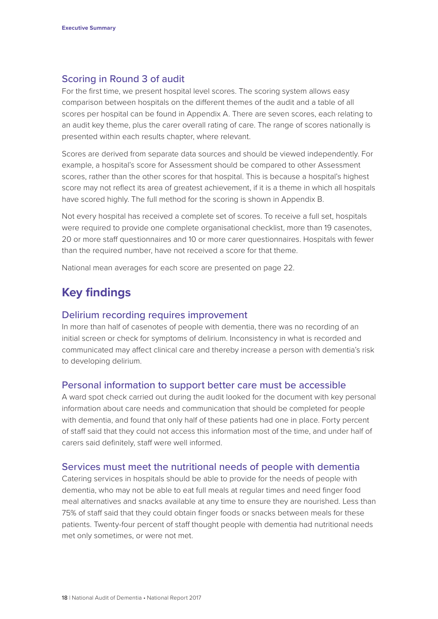# Scoring in Round 3 of audit

For the first time, we present hospital level scores. The scoring system allows easy comparison between hospitals on the different themes of the audit and a table of all scores per hospital can be found in Appendix A. There are seven scores, each relating to an audit key theme, plus the carer overall rating of care. The range of scores nationally is presented within each results chapter, where relevant.

Scores are derived from separate data sources and should be viewed independently. For example, a hospital's score for Assessment should be compared to other Assessment scores, rather than the other scores for that hospital. This is because a hospital's highest score may not reflect its area of greatest achievement, if it is a theme in which all hospitals have scored highly. The full method for the scoring is shown in Appendix B.

Not every hospital has received a complete set of scores. To receive a full set, hospitals were required to provide one complete organisational checklist, more than 19 casenotes, 20 or more staff questionnaires and 10 or more carer questionnaires. Hospitals with fewer than the required number, have not received a score for that theme.

National mean averages for each score are presented on page 22.

# **Key findings**

# Delirium recording requires improvement

In more than half of casenotes of people with dementia, there was no recording of an initial screen or check for symptoms of delirium. Inconsistency in what is recorded and communicated may affect clinical care and thereby increase a person with dementia's risk to developing delirium.

#### Personal information to support better care must be accessible

A ward spot check carried out during the audit looked for the document with key personal information about care needs and communication that should be completed for people with dementia, and found that only half of these patients had one in place. Forty percent of staff said that they could not access this information most of the time, and under half of carers said definitely, staff were well informed.

#### Services must meet the nutritional needs of people with dementia

Catering services in hospitals should be able to provide for the needs of people with dementia, who may not be able to eat full meals at regular times and need finger food meal alternatives and snacks available at any time to ensure they are nourished. Less than 75% of staff said that they could obtain finger foods or snacks between meals for these patients. Twenty-four percent of staff thought people with dementia had nutritional needs met only sometimes, or were not met.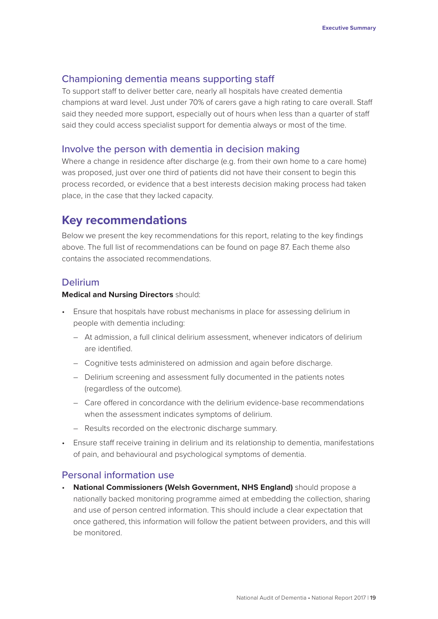# Championing dementia means supporting staff

To support staff to deliver better care, nearly all hospitals have created dementia champions at ward level. Just under 70% of carers gave a high rating to care overall. Staff said they needed more support, especially out of hours when less than a quarter of staff said they could access specialist support for dementia always or most of the time.

# Involve the person with dementia in decision making

Where a change in residence after discharge (e.g. from their own home to a care home) was proposed, just over one third of patients did not have their consent to begin this process recorded, or evidence that a best interests decision making process had taken place, in the case that they lacked capacity.

# **Key recommendations**

Below we present the key recommendations for this report, relating to the key findings above. The full list of recommendations can be found on page 87. Each theme also contains the associated recommendations.

# Delirium

#### **Medical and Nursing Directors** should:

- Ensure that hospitals have robust mechanisms in place for assessing delirium in people with dementia including:
	- At admission, a full clinical delirium assessment, whenever indicators of delirium are identified.
	- Cognitive tests administered on admission and again before discharge.
	- Delirium screening and assessment fully documented in the patients notes (regardless of the outcome).
	- Care offered in concordance with the delirium evidence-base recommendations when the assessment indicates symptoms of delirium.
	- Results recorded on the electronic discharge summary.
- Ensure staff receive training in delirium and its relationship to dementia, manifestations of pain, and behavioural and psychological symptoms of dementia.

## Personal information use

• **National Commissioners (Welsh Government, NHS England)** should propose a nationally backed monitoring programme aimed at embedding the collection, sharing and use of person centred information. This should include a clear expectation that once gathered, this information will follow the patient between providers, and this will be monitored.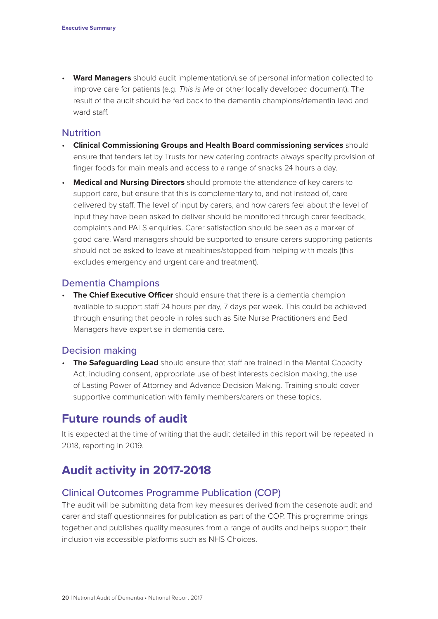• **Ward Managers** should audit implementation/use of personal information collected to improve care for patients (e.g. *This is Me* or other locally developed document). The result of the audit should be fed back to the dementia champions/dementia lead and ward staff

# **Nutrition**

- **Clinical Commissioning Groups and Health Board commissioning services** should ensure that tenders let by Trusts for new catering contracts always specify provision of finger foods for main meals and access to a range of snacks 24 hours a day.
- **Medical and Nursing Directors** should promote the attendance of key carers to support care, but ensure that this is complementary to, and not instead of, care delivered by staff. The level of input by carers, and how carers feel about the level of input they have been asked to deliver should be monitored through carer feedback, complaints and PALS enquiries. Carer satisfaction should be seen as a marker of good care. Ward managers should be supported to ensure carers supporting patients should not be asked to leave at mealtimes/stopped from helping with meals (this excludes emergency and urgent care and treatment).

# Dementia Champions

• **The Chief Executive Officer** should ensure that there is a dementia champion available to support staff 24 hours per day, 7 days per week. This could be achieved through ensuring that people in roles such as Site Nurse Practitioners and Bed Managers have expertise in dementia care.

## Decision making

**The Safequarding Lead** should ensure that staff are trained in the Mental Capacity Act, including consent, appropriate use of best interests decision making, the use of Lasting Power of Attorney and Advance Decision Making. Training should cover supportive communication with family members/carers on these topics.

# **Future rounds of audit**

It is expected at the time of writing that the audit detailed in this report will be repeated in 2018, reporting in 2019.

# **Audit activity in 2017-2018**

## Clinical Outcomes Programme Publication (COP)

The audit will be submitting data from key measures derived from the casenote audit and carer and staff questionnaires for publication as part of the COP. This programme brings together and publishes quality measures from a range of audits and helps support their inclusion via accessible platforms such as NHS Choices.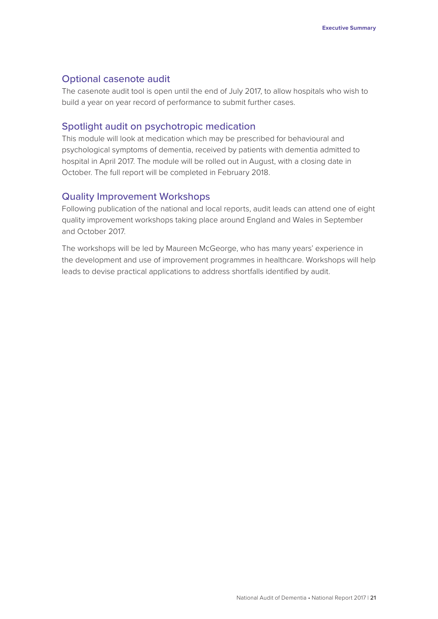# Optional casenote audit

The casenote audit tool is open until the end of July 2017, to allow hospitals who wish to build a year on year record of performance to submit further cases.

# Spotlight audit on psychotropic medication

This module will look at medication which may be prescribed for behavioural and psychological symptoms of dementia, received by patients with dementia admitted to hospital in April 2017. The module will be rolled out in August, with a closing date in October. The full report will be completed in February 2018.

# Quality Improvement Workshops

Following publication of the national and local reports, audit leads can attend one of eight quality improvement workshops taking place around England and Wales in September and October 2017.

The workshops will be led by Maureen McGeorge, who has many years' experience in the development and use of improvement programmes in healthcare. Workshops will help leads to devise practical applications to address shortfalls identified by audit.